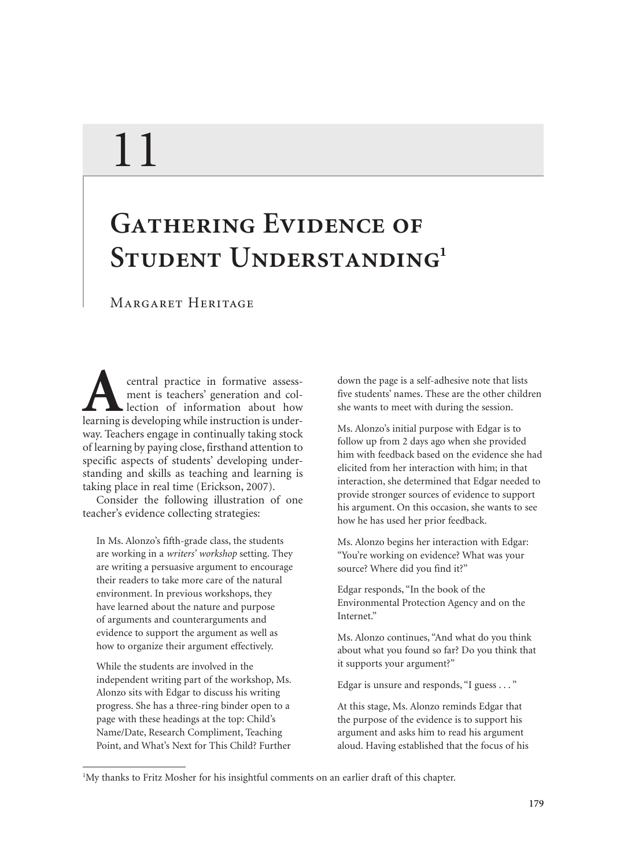# 11

# **Gathering Evidence of**  STUDENT UNDERSTANDING<sup>1</sup>

MARGARET HERITAGE

**Acentral practice in formative assessment is teachers' generation and collection of information about how learning is developing while instruction is under**ment is teachers' generation and collection of information about how way. Teachers engage in continually taking stock of learning by paying close, firsthand attention to specific aspects of students' developing understanding and skills as teaching and learning is taking place in real time (Erickson, 2007).

Consider the following illustration of one teacher's evidence collecting strategies:

In Ms. Alonzo's fifth-grade class, the students are working in a *writers' workshop* setting. They are writing a persuasive argument to encourage their readers to take more care of the natural environment. In previous workshops, they have learned about the nature and purpose of arguments and counterarguments and evidence to support the argument as well as how to organize their argument effectively.

While the students are involved in the independent writing part of the workshop, Ms. Alonzo sits with Edgar to discuss his writing progress. She has a three-ring binder open to a page with these headings at the top: Child's Name/Date, Research Compliment, Teaching Point, and What's Next for This Child? Further down the page is a self-adhesive note that lists five students' names. These are the other children she wants to meet with during the session.

Ms. Alonzo's initial purpose with Edgar is to follow up from 2 days ago when she provided him with feedback based on the evidence she had elicited from her interaction with him; in that interaction, she determined that Edgar needed to provide stronger sources of evidence to support his argument. On this occasion, she wants to see how he has used her prior feedback.

Ms. Alonzo begins her interaction with Edgar: "You're working on evidence? What was your source? Where did you find it?"

Edgar responds, "In the book of the Environmental Protection Agency and on the Internet."

Ms. Alonzo continues, "And what do you think about what you found so far? Do you think that it supports your argument?"

Edgar is unsure and responds, "I guess . . . "

At this stage, Ms. Alonzo reminds Edgar that the purpose of the evidence is to support his argument and asks him to read his argument aloud. Having established that the focus of his

<sup>&</sup>lt;sup>1</sup>My thanks to Fritz Mosher for his insightful comments on an earlier draft of this chapter.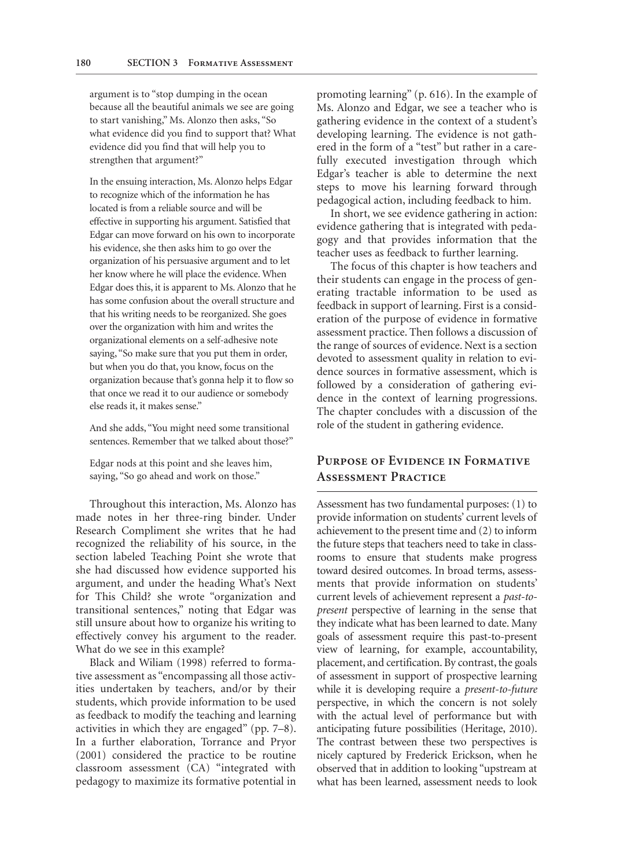argument is to "stop dumping in the ocean because all the beautiful animals we see are going to start vanishing," Ms. Alonzo then asks, "So what evidence did you find to support that? What evidence did you find that will help you to strengthen that argument?"

In the ensuing interaction, Ms. Alonzo helps Edgar to recognize which of the information he has located is from a reliable source and will be effective in supporting his argument. Satisfied that Edgar can move forward on his own to incorporate his evidence, she then asks him to go over the organization of his persuasive argument and to let her know where he will place the evidence. When Edgar does this, it is apparent to Ms. Alonzo that he has some confusion about the overall structure and that his writing needs to be reorganized. She goes over the organization with him and writes the organizational elements on a self-adhesive note saying, "So make sure that you put them in order, but when you do that, you know, focus on the organization because that's gonna help it to flow so that once we read it to our audience or somebody else reads it, it makes sense."

And she adds, "You might need some transitional sentences. Remember that we talked about those?"

Edgar nods at this point and she leaves him, saying, "So go ahead and work on those."

Throughout this interaction, Ms. Alonzo has made notes in her three-ring binder. Under Research Compliment she writes that he had recognized the reliability of his source, in the section labeled Teaching Point she wrote that she had discussed how evidence supported his argument*,* and under the heading What's Next for This Child? she wrote "organization and transitional sentences," noting that Edgar was still unsure about how to organize his writing to effectively convey his argument to the reader. What do we see in this example?

Black and Wiliam (1998) referred to formative assessment as "encompassing all those activities undertaken by teachers, and/or by their students, which provide information to be used as feedback to modify the teaching and learning activities in which they are engaged" (pp. 7–8). In a further elaboration, Torrance and Pryor (2001) considered the practice to be routine classroom assessment (CA) "integrated with pedagogy to maximize its formative potential in promoting learning" (p. 616). In the example of Ms. Alonzo and Edgar, we see a teacher who is gathering evidence in the context of a student's developing learning. The evidence is not gathered in the form of a "test" but rather in a carefully executed investigation through which Edgar's teacher is able to determine the next steps to move his learning forward through pedagogical action, including feedback to him.

In short, we see evidence gathering in action: evidence gathering that is integrated with pedagogy and that provides information that the teacher uses as feedback to further learning.

The focus of this chapter is how teachers and their students can engage in the process of generating tractable information to be used as feedback in support of learning. First is a consideration of the purpose of evidence in formative assessment practice. Then follows a discussion of the range of sources of evidence. Next is a section devoted to assessment quality in relation to evidence sources in formative assessment, which is followed by a consideration of gathering evidence in the context of learning progressions. The chapter concludes with a discussion of the role of the student in gathering evidence.

# **Purpose of Evidence in Formative Assessment Practice**

Assessment has two fundamental purposes: (1) to provide information on students' current levels of achievement to the present time and (2) to inform the future steps that teachers need to take in classrooms to ensure that students make progress toward desired outcomes. In broad terms, assessments that provide information on students' current levels of achievement represent a *past-topresent* perspective of learning in the sense that they indicate what has been learned to date. Many goals of assessment require this past-to-present view of learning, for example, accountability, placement, and certification. By contrast, the goals of assessment in support of prospective learning while it is developing require a *present-to-future* perspective, in which the concern is not solely with the actual level of performance but with anticipating future possibilities (Heritage, 2010). The contrast between these two perspectives is nicely captured by Frederick Erickson, when he observed that in addition to looking "upstream at what has been learned, assessment needs to look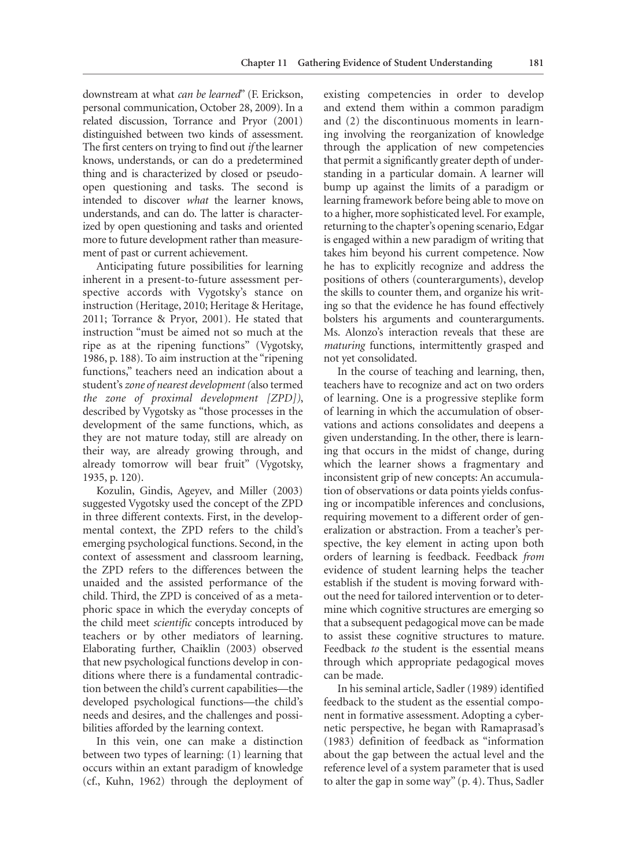downstream at what *can be learned*" (F. Erickson, personal communication, October 28, 2009). In a related discussion, Torrance and Pryor (2001) distinguished between two kinds of assessment. The first centers on trying to find out *if* the learner knows, understands, or can do a predetermined thing and is characterized by closed or pseudoopen questioning and tasks. The second is intended to discover *what* the learner knows, understands, and can do. The latter is characterized by open questioning and tasks and oriented more to future development rather than measurement of past or current achievement.

Anticipating future possibilities for learning inherent in a present-to-future assessment perspective accords with Vygotsky's stance on instruction (Heritage, 2010; Heritage & Heritage, 2011; Torrance & Pryor, 2001). He stated that instruction "must be aimed not so much at the ripe as at the ripening functions" (Vygotsky, 1986, p. 188). To aim instruction at the "ripening functions," teachers need an indication about a student's *zone of nearest development (*also termed *the zone of proximal development [ZPD])*, described by Vygotsky as "those processes in the development of the same functions, which, as they are not mature today, still are already on their way, are already growing through, and already tomorrow will bear fruit" (Vygotsky, 1935, p. 120).

Kozulin, Gindis, Ageyev, and Miller (2003) suggested Vygotsky used the concept of the ZPD in three different contexts. First, in the developmental context, the ZPD refers to the child's emerging psychological functions. Second, in the context of assessment and classroom learning, the ZPD refers to the differences between the unaided and the assisted performance of the child. Third, the ZPD is conceived of as a metaphoric space in which the everyday concepts of the child meet *scientific* concepts introduced by teachers or by other mediators of learning. Elaborating further, Chaiklin (2003) observed that new psychological functions develop in conditions where there is a fundamental contradiction between the child's current capabilities—the developed psychological functions—the child's needs and desires, and the challenges and possibilities afforded by the learning context.

In this vein, one can make a distinction between two types of learning: (1) learning that occurs within an extant paradigm of knowledge (cf., Kuhn, 1962) through the deployment of existing competencies in order to develop and extend them within a common paradigm and (2) the discontinuous moments in learning involving the reorganization of knowledge through the application of new competencies that permit a significantly greater depth of understanding in a particular domain. A learner will bump up against the limits of a paradigm or learning framework before being able to move on to a higher, more sophisticated level. For example, returning to the chapter's opening scenario, Edgar is engaged within a new paradigm of writing that takes him beyond his current competence. Now he has to explicitly recognize and address the positions of others (counterarguments), develop the skills to counter them, and organize his writing so that the evidence he has found effectively bolsters his arguments and counterarguments. Ms. Alonzo's interaction reveals that these are *maturing* functions, intermittently grasped and not yet consolidated.

In the course of teaching and learning, then, teachers have to recognize and act on two orders of learning. One is a progressive steplike form of learning in which the accumulation of observations and actions consolidates and deepens a given understanding. In the other, there is learning that occurs in the midst of change, during which the learner shows a fragmentary and inconsistent grip of new concepts: An accumulation of observations or data points yields confusing or incompatible inferences and conclusions, requiring movement to a different order of generalization or abstraction. From a teacher's perspective, the key element in acting upon both orders of learning is feedback. Feedback *from* evidence of student learning helps the teacher establish if the student is moving forward without the need for tailored intervention or to determine which cognitive structures are emerging so that a subsequent pedagogical move can be made to assist these cognitive structures to mature. Feedback *to* the student is the essential means through which appropriate pedagogical moves can be made.

In his seminal article, Sadler (1989) identified feedback to the student as the essential component in formative assessment. Adopting a cybernetic perspective, he began with Ramaprasad's (1983) definition of feedback as "information about the gap between the actual level and the reference level of a system parameter that is used to alter the gap in some way" (p. 4). Thus, Sadler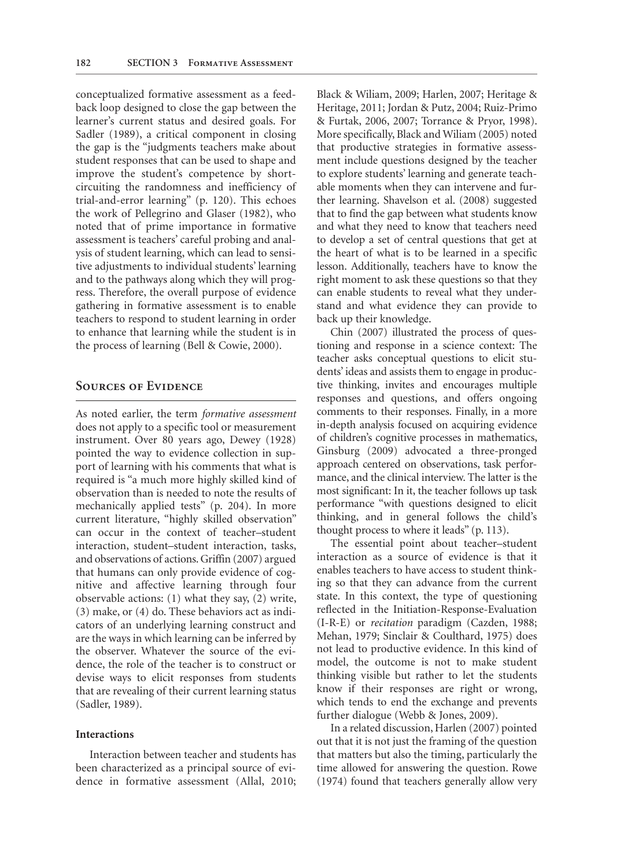conceptualized formative assessment as a feedback loop designed to close the gap between the learner's current status and desired goals. For Sadler (1989), a critical component in closing the gap is the "judgments teachers make about student responses that can be used to shape and improve the student's competence by shortcircuiting the randomness and inefficiency of trial-and-error learning" (p. 120). This echoes the work of Pellegrino and Glaser (1982), who noted that of prime importance in formative assessment is teachers' careful probing and analysis of student learning, which can lead to sensitive adjustments to individual students' learning and to the pathways along which they will progress. Therefore, the overall purpose of evidence gathering in formative assessment is to enable teachers to respond to student learning in order to enhance that learning while the student is in the process of learning (Bell & Cowie, 2000).

# **Sources of Evidence**

As noted earlier, the term *formative assessment* does not apply to a specific tool or measurement instrument. Over 80 years ago, Dewey (1928) pointed the way to evidence collection in support of learning with his comments that what is required is "a much more highly skilled kind of observation than is needed to note the results of mechanically applied tests" (p. 204). In more current literature, "highly skilled observation" can occur in the context of teacher–student interaction, student–student interaction, tasks, and observations of actions. Griffin (2007) argued that humans can only provide evidence of cognitive and affective learning through four observable actions: (1) what they say, (2) write, (3) make, or (4) do. These behaviors act as indicators of an underlying learning construct and are the ways in which learning can be inferred by the observer. Whatever the source of the evidence, the role of the teacher is to construct or devise ways to elicit responses from students that are revealing of their current learning status (Sadler, 1989).

#### **Interactions**

Interaction between teacher and students has been characterized as a principal source of evidence in formative assessment (Allal, 2010;

Black & Wiliam, 2009; Harlen, 2007; Heritage & Heritage, 2011; Jordan & Putz, 2004; Ruiz-Primo & Furtak, 2006, 2007; Torrance & Pryor, 1998). More specifically, Black and Wiliam (2005) noted that productive strategies in formative assessment include questions designed by the teacher to explore students' learning and generate teachable moments when they can intervene and further learning. Shavelson et al. (2008) suggested that to find the gap between what students know and what they need to know that teachers need to develop a set of central questions that get at the heart of what is to be learned in a specific lesson. Additionally, teachers have to know the right moment to ask these questions so that they can enable students to reveal what they understand and what evidence they can provide to back up their knowledge.

Chin (2007) illustrated the process of questioning and response in a science context: The teacher asks conceptual questions to elicit students' ideas and assists them to engage in productive thinking, invites and encourages multiple responses and questions, and offers ongoing comments to their responses. Finally, in a more in-depth analysis focused on acquiring evidence of children's cognitive processes in mathematics, Ginsburg (2009) advocated a three-pronged approach centered on observations, task performance, and the clinical interview. The latter is the most significant: In it, the teacher follows up task performance "with questions designed to elicit thinking, and in general follows the child's thought process to where it leads" (p. 113).

The essential point about teacher–student interaction as a source of evidence is that it enables teachers to have access to student thinking so that they can advance from the current state. In this context, the type of questioning reflected in the Initiation-Response-Evaluation (I-R-E) or *recitation* paradigm (Cazden, 1988; Mehan, 1979; Sinclair & Coulthard, 1975) does not lead to productive evidence. In this kind of model, the outcome is not to make student thinking visible but rather to let the students know if their responses are right or wrong, which tends to end the exchange and prevents further dialogue (Webb & Jones, 2009).

In a related discussion, Harlen (2007) pointed out that it is not just the framing of the question that matters but also the timing, particularly the time allowed for answering the question. Rowe (1974) found that teachers generally allow very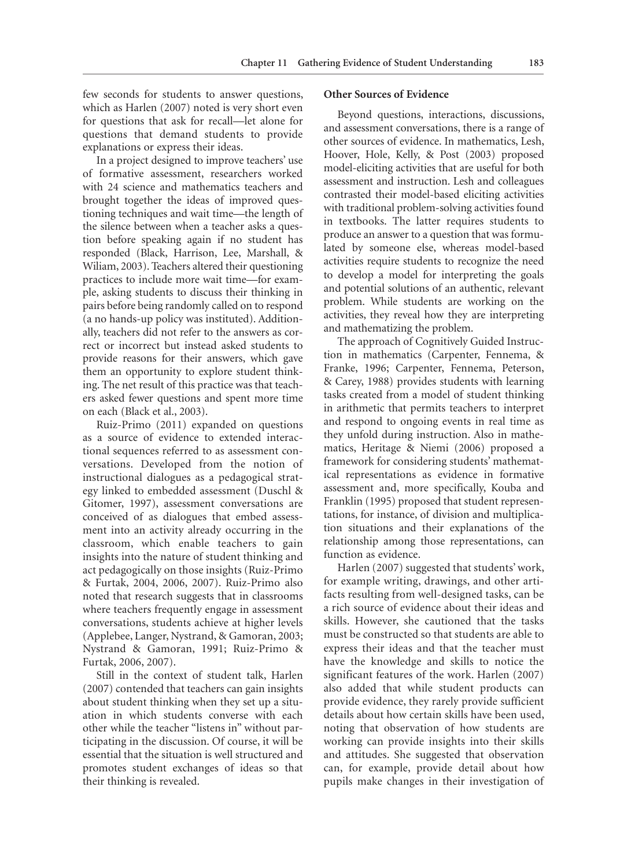few seconds for students to answer questions, which as Harlen (2007) noted is very short even for questions that ask for recall—let alone for questions that demand students to provide explanations or express their ideas.

In a project designed to improve teachers' use of formative assessment, researchers worked with 24 science and mathematics teachers and brought together the ideas of improved questioning techniques and wait time—the length of the silence between when a teacher asks a question before speaking again if no student has responded (Black, Harrison, Lee, Marshall, & Wiliam, 2003). Teachers altered their questioning practices to include more wait time—for example, asking students to discuss their thinking in pairs before being randomly called on to respond (a no hands-up policy was instituted). Additionally, teachers did not refer to the answers as correct or incorrect but instead asked students to provide reasons for their answers, which gave them an opportunity to explore student thinking. The net result of this practice was that teachers asked fewer questions and spent more time on each (Black et al., 2003).

Ruiz-Primo (2011) expanded on questions as a source of evidence to extended interactional sequences referred to as assessment conversations. Developed from the notion of instructional dialogues as a pedagogical strategy linked to embedded assessment (Duschl & Gitomer, 1997), assessment conversations are conceived of as dialogues that embed assessment into an activity already occurring in the classroom, which enable teachers to gain insights into the nature of student thinking and act pedagogically on those insights (Ruiz-Primo & Furtak, 2004, 2006, 2007). Ruiz-Primo also noted that research suggests that in classrooms where teachers frequently engage in assessment conversations, students achieve at higher levels (Applebee, Langer, Nystrand, & Gamoran, 2003; Nystrand & Gamoran, 1991; Ruiz-Primo & Furtak, 2006, 2007).

Still in the context of student talk, Harlen (2007) contended that teachers can gain insights about student thinking when they set up a situation in which students converse with each other while the teacher "listens in" without participating in the discussion. Of course, it will be essential that the situation is well structured and promotes student exchanges of ideas so that their thinking is revealed.

#### **Other Sources of Evidence**

Beyond questions, interactions, discussions, and assessment conversations, there is a range of other sources of evidence. In mathematics, Lesh, Hoover, Hole, Kelly, & Post (2003) proposed model-eliciting activities that are useful for both assessment and instruction. Lesh and colleagues contrasted their model-based eliciting activities with traditional problem-solving activities found in textbooks. The latter requires students to produce an answer to a question that was formulated by someone else, whereas model-based activities require students to recognize the need to develop a model for interpreting the goals and potential solutions of an authentic, relevant problem. While students are working on the activities, they reveal how they are interpreting and mathematizing the problem.

The approach of Cognitively Guided Instruction in mathematics (Carpenter, Fennema, & Franke, 1996; Carpenter, Fennema, Peterson, & Carey, 1988) provides students with learning tasks created from a model of student thinking in arithmetic that permits teachers to interpret and respond to ongoing events in real time as they unfold during instruction. Also in mathematics, Heritage & Niemi (2006) proposed a framework for considering students' mathematical representations as evidence in formative assessment and, more specifically, Kouba and Franklin (1995) proposed that student representations, for instance, of division and multiplication situations and their explanations of the relationship among those representations, can function as evidence.

Harlen (2007) suggested that students' work, for example writing, drawings, and other artifacts resulting from well-designed tasks, can be a rich source of evidence about their ideas and skills. However, she cautioned that the tasks must be constructed so that students are able to express their ideas and that the teacher must have the knowledge and skills to notice the significant features of the work. Harlen (2007) also added that while student products can provide evidence, they rarely provide sufficient details about how certain skills have been used, noting that observation of how students are working can provide insights into their skills and attitudes. She suggested that observation can, for example, provide detail about how pupils make changes in their investigation of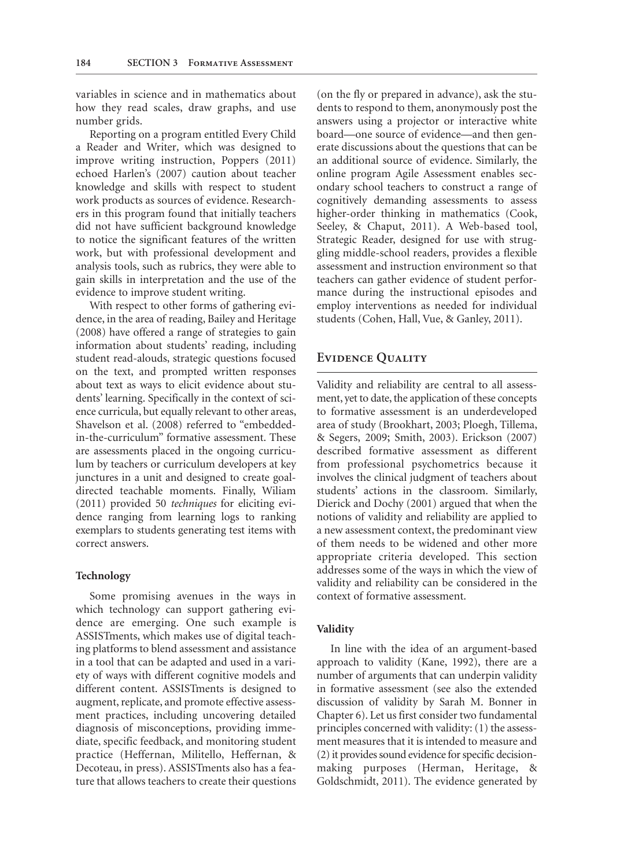variables in science and in mathematics about how they read scales, draw graphs, and use number grids.

Reporting on a program entitled Every Child a Reader and Writer*,* which was designed to improve writing instruction, Poppers (2011) echoed Harlen's (2007) caution about teacher knowledge and skills with respect to student work products as sources of evidence. Researchers in this program found that initially teachers did not have sufficient background knowledge to notice the significant features of the written work, but with professional development and analysis tools, such as rubrics, they were able to gain skills in interpretation and the use of the evidence to improve student writing.

With respect to other forms of gathering evidence, in the area of reading, Bailey and Heritage (2008) have offered a range of strategies to gain information about students' reading, including student read-alouds, strategic questions focused on the text, and prompted written responses about text as ways to elicit evidence about students' learning. Specifically in the context of science curricula, but equally relevant to other areas, Shavelson et al. (2008) referred to "embeddedin-the-curriculum" formative assessment. These are assessments placed in the ongoing curriculum by teachers or curriculum developers at key junctures in a unit and designed to create goaldirected teachable moments. Finally, Wiliam (2011) provided 50 *techniques* for eliciting evidence ranging from learning logs to ranking exemplars to students generating test items with correct answers.

#### **Technology**

Some promising avenues in the ways in which technology can support gathering evidence are emerging. One such example is ASSISTments, which makes use of digital teaching platforms to blend assessment and assistance in a tool that can be adapted and used in a variety of ways with different cognitive models and different content. ASSISTments is designed to augment, replicate, and promote effective assessment practices, including uncovering detailed diagnosis of misconceptions, providing immediate, specific feedback, and monitoring student practice (Heffernan, Militello, Heffernan, & Decoteau, in press). ASSISTments also has a feature that allows teachers to create their questions

(on the fly or prepared in advance), ask the students to respond to them, anonymously post the answers using a projector or interactive white board—one source of evidence—and then generate discussions about the questions that can be an additional source of evidence. Similarly, the online program Agile Assessment enables secondary school teachers to construct a range of cognitively demanding assessments to assess higher-order thinking in mathematics (Cook, Seeley, & Chaput, 2011). A Web-based tool, Strategic Reader, designed for use with struggling middle-school readers, provides a flexible assessment and instruction environment so that teachers can gather evidence of student performance during the instructional episodes and employ interventions as needed for individual students (Cohen, Hall, Vue, & Ganley, 2011).

# **Evidence Quality**

Validity and reliability are central to all assessment, yet to date, the application of these concepts to formative assessment is an underdeveloped area of study (Brookhart, 2003; Ploegh, Tillema, & Segers, 2009; Smith, 2003). Erickson (2007) described formative assessment as different from professional psychometrics because it involves the clinical judgment of teachers about students' actions in the classroom. Similarly, Dierick and Dochy (2001) argued that when the notions of validity and reliability are applied to a new assessment context, the predominant view of them needs to be widened and other more appropriate criteria developed. This section addresses some of the ways in which the view of validity and reliability can be considered in the context of formative assessment.

#### **Validity**

In line with the idea of an argument-based approach to validity (Kane, 1992), there are a number of arguments that can underpin validity in formative assessment (see also the extended discussion of validity by Sarah M. Bonner in Chapter 6). Let us first consider two fundamental principles concerned with validity: (1) the assessment measures that it is intended to measure and (2) it provides sound evidence for specific decisionmaking purposes (Herman, Heritage, & Goldschmidt, 2011). The evidence generated by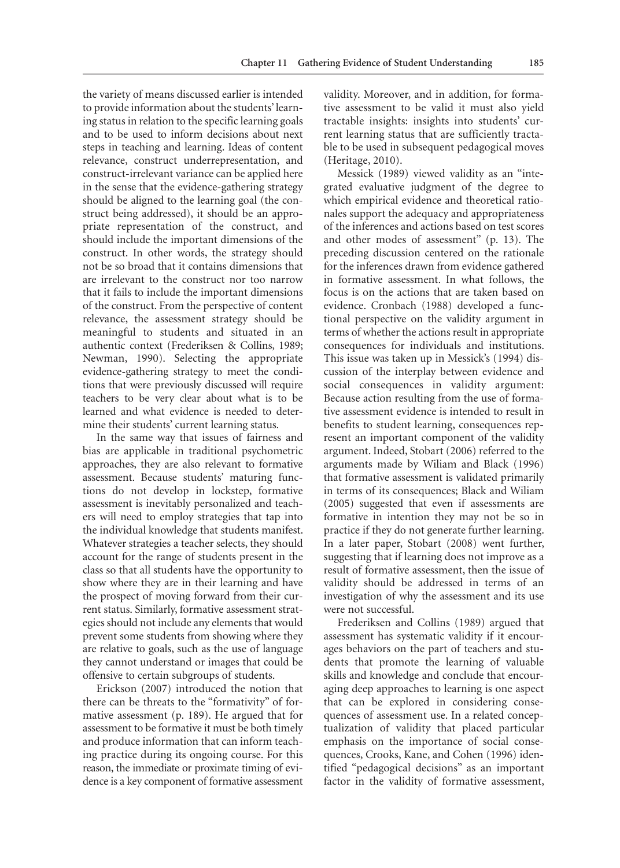the variety of means discussed earlier is intended to provide information about the students' learning status in relation to the specific learning goals and to be used to inform decisions about next steps in teaching and learning. Ideas of content relevance, construct underrepresentation, and construct-irrelevant variance can be applied here in the sense that the evidence-gathering strategy should be aligned to the learning goal (the construct being addressed), it should be an appropriate representation of the construct, and should include the important dimensions of the construct. In other words, the strategy should not be so broad that it contains dimensions that are irrelevant to the construct nor too narrow that it fails to include the important dimensions of the construct. From the perspective of content relevance, the assessment strategy should be meaningful to students and situated in an authentic context (Frederiksen & Collins, 1989; Newman, 1990). Selecting the appropriate evidence-gathering strategy to meet the conditions that were previously discussed will require teachers to be very clear about what is to be learned and what evidence is needed to determine their students' current learning status.

In the same way that issues of fairness and bias are applicable in traditional psychometric approaches, they are also relevant to formative assessment. Because students' maturing functions do not develop in lockstep, formative assessment is inevitably personalized and teachers will need to employ strategies that tap into the individual knowledge that students manifest. Whatever strategies a teacher selects, they should account for the range of students present in the class so that all students have the opportunity to show where they are in their learning and have the prospect of moving forward from their current status. Similarly, formative assessment strategies should not include any elements that would prevent some students from showing where they are relative to goals, such as the use of language they cannot understand or images that could be offensive to certain subgroups of students.

Erickson (2007) introduced the notion that there can be threats to the "formativity" of formative assessment (p. 189). He argued that for assessment to be formative it must be both timely and produce information that can inform teaching practice during its ongoing course. For this reason, the immediate or proximate timing of evidence is a key component of formative assessment

validity. Moreover, and in addition, for formative assessment to be valid it must also yield tractable insights: insights into students' current learning status that are sufficiently tractable to be used in subsequent pedagogical moves (Heritage, 2010).

Messick (1989) viewed validity as an "integrated evaluative judgment of the degree to which empirical evidence and theoretical rationales support the adequacy and appropriateness of the inferences and actions based on test scores and other modes of assessment" (p. 13). The preceding discussion centered on the rationale for the inferences drawn from evidence gathered in formative assessment. In what follows, the focus is on the actions that are taken based on evidence. Cronbach (1988) developed a functional perspective on the validity argument in terms of whether the actions result in appropriate consequences for individuals and institutions. This issue was taken up in Messick's (1994) discussion of the interplay between evidence and social consequences in validity argument: Because action resulting from the use of formative assessment evidence is intended to result in benefits to student learning, consequences represent an important component of the validity argument. Indeed, Stobart (2006) referred to the arguments made by Wiliam and Black (1996) that formative assessment is validated primarily in terms of its consequences; Black and Wiliam (2005) suggested that even if assessments are formative in intention they may not be so in practice if they do not generate further learning. In a later paper, Stobart (2008) went further, suggesting that if learning does not improve as a result of formative assessment, then the issue of validity should be addressed in terms of an investigation of why the assessment and its use were not successful.

Frederiksen and Collins (1989) argued that assessment has systematic validity if it encourages behaviors on the part of teachers and students that promote the learning of valuable skills and knowledge and conclude that encouraging deep approaches to learning is one aspect that can be explored in considering consequences of assessment use. In a related conceptualization of validity that placed particular emphasis on the importance of social consequences, Crooks, Kane, and Cohen (1996) identified "pedagogical decisions" as an important factor in the validity of formative assessment,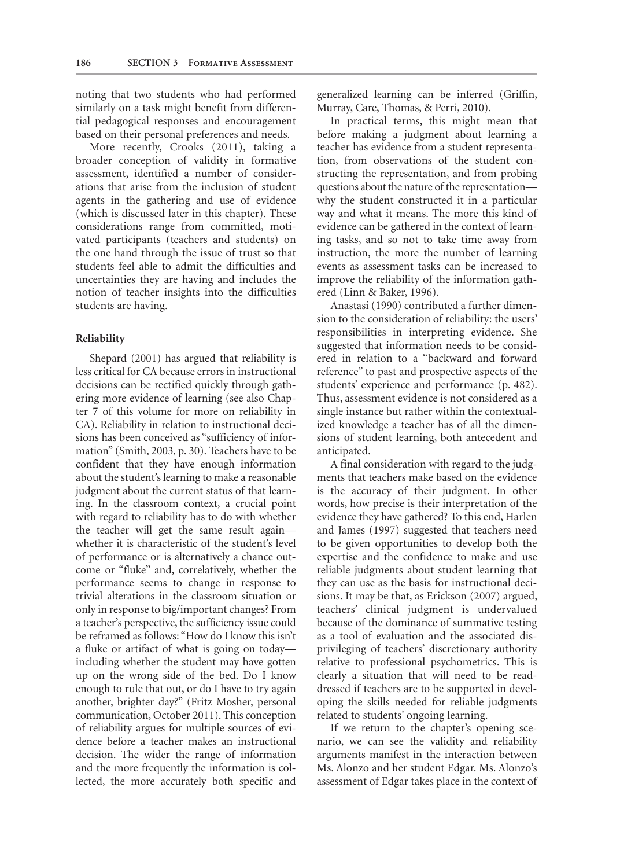noting that two students who had performed similarly on a task might benefit from differential pedagogical responses and encouragement based on their personal preferences and needs.

More recently, Crooks (2011), taking a broader conception of validity in formative assessment, identified a number of considerations that arise from the inclusion of student agents in the gathering and use of evidence (which is discussed later in this chapter). These considerations range from committed, motivated participants (teachers and students) on the one hand through the issue of trust so that students feel able to admit the difficulties and uncertainties they are having and includes the notion of teacher insights into the difficulties students are having.

#### **Reliability**

Shepard (2001) has argued that reliability is less critical for CA because errors in instructional decisions can be rectified quickly through gathering more evidence of learning (see also Chapter 7 of this volume for more on reliability in CA). Reliability in relation to instructional decisions has been conceived as "sufficiency of information" (Smith, 2003, p. 30). Teachers have to be confident that they have enough information about the student's learning to make a reasonable judgment about the current status of that learning. In the classroom context, a crucial point with regard to reliability has to do with whether the teacher will get the same result again whether it is characteristic of the student's level of performance or is alternatively a chance outcome or "fluke" and, correlatively, whether the performance seems to change in response to trivial alterations in the classroom situation or only in response to big/important changes? From a teacher's perspective, the sufficiency issue could be reframed as follows: "How do I know this isn't a fluke or artifact of what is going on today including whether the student may have gotten up on the wrong side of the bed. Do I know enough to rule that out, or do I have to try again another, brighter day?" (Fritz Mosher, personal communication, October 2011). This conception of reliability argues for multiple sources of evidence before a teacher makes an instructional decision. The wider the range of information and the more frequently the information is collected, the more accurately both specific and

generalized learning can be inferred (Griffin, Murray, Care, Thomas, & Perri, 2010).

In practical terms, this might mean that before making a judgment about learning a teacher has evidence from a student representation, from observations of the student constructing the representation, and from probing questions about the nature of the representation why the student constructed it in a particular way and what it means. The more this kind of evidence can be gathered in the context of learning tasks, and so not to take time away from instruction, the more the number of learning events as assessment tasks can be increased to improve the reliability of the information gathered (Linn & Baker, 1996).

Anastasi (1990) contributed a further dimension to the consideration of reliability: the users' responsibilities in interpreting evidence. She suggested that information needs to be considered in relation to a "backward and forward reference" to past and prospective aspects of the students' experience and performance (p. 482). Thus, assessment evidence is not considered as a single instance but rather within the contextualized knowledge a teacher has of all the dimensions of student learning, both antecedent and anticipated.

A final consideration with regard to the judgments that teachers make based on the evidence is the accuracy of their judgment. In other words, how precise is their interpretation of the evidence they have gathered? To this end, Harlen and James (1997) suggested that teachers need to be given opportunities to develop both the expertise and the confidence to make and use reliable judgments about student learning that they can use as the basis for instructional decisions. It may be that, as Erickson (2007) argued, teachers' clinical judgment is undervalued because of the dominance of summative testing as a tool of evaluation and the associated disprivileging of teachers' discretionary authority relative to professional psychometrics. This is clearly a situation that will need to be readdressed if teachers are to be supported in developing the skills needed for reliable judgments related to students' ongoing learning.

If we return to the chapter's opening scenario, we can see the validity and reliability arguments manifest in the interaction between Ms. Alonzo and her student Edgar. Ms. Alonzo's assessment of Edgar takes place in the context of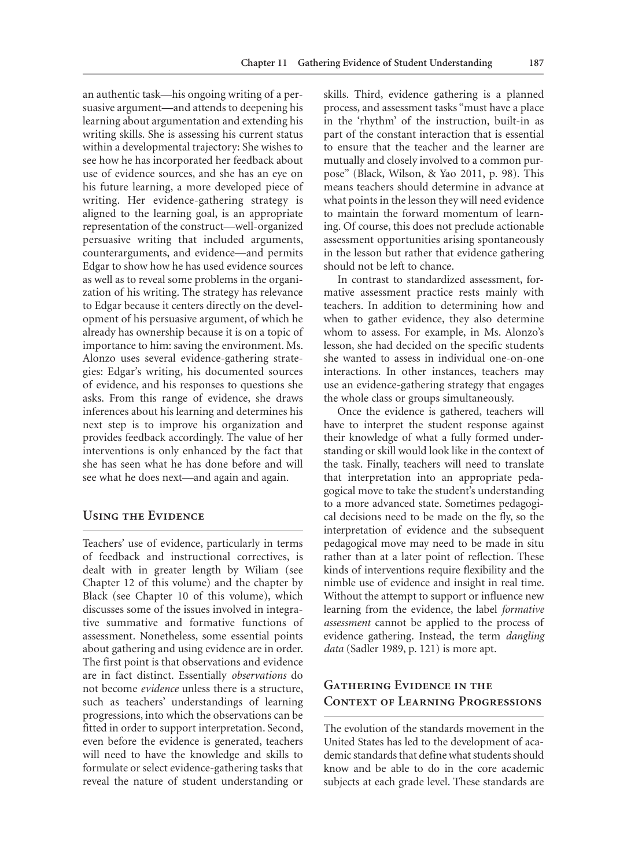an authentic task—his ongoing writing of a persuasive argument—and attends to deepening his learning about argumentation and extending his writing skills. She is assessing his current status within a developmental trajectory: She wishes to see how he has incorporated her feedback about use of evidence sources, and she has an eye on his future learning, a more developed piece of writing. Her evidence-gathering strategy is aligned to the learning goal, is an appropriate representation of the construct—well-organized persuasive writing that included arguments, counterarguments, and evidence—and permits Edgar to show how he has used evidence sources as well as to reveal some problems in the organization of his writing. The strategy has relevance to Edgar because it centers directly on the development of his persuasive argument, of which he already has ownership because it is on a topic of importance to him: saving the environment. Ms. Alonzo uses several evidence-gathering strategies: Edgar's writing, his documented sources of evidence, and his responses to questions she asks. From this range of evidence, she draws inferences about his learning and determines his next step is to improve his organization and provides feedback accordingly. The value of her interventions is only enhanced by the fact that she has seen what he has done before and will see what he does next—and again and again.

# **Using the Evidence**

Teachers' use of evidence, particularly in terms of feedback and instructional correctives, is dealt with in greater length by Wiliam (see Chapter 12 of this volume) and the chapter by Black (see Chapter 10 of this volume), which discusses some of the issues involved in integrative summative and formative functions of assessment. Nonetheless, some essential points about gathering and using evidence are in order. The first point is that observations and evidence are in fact distinct. Essentially *observations* do not become *evidence* unless there is a structure, such as teachers' understandings of learning progressions, into which the observations can be fitted in order to support interpretation. Second, even before the evidence is generated, teachers will need to have the knowledge and skills to formulate or select evidence-gathering tasks that reveal the nature of student understanding or

skills. Third, evidence gathering is a planned process, and assessment tasks "must have a place in the 'rhythm' of the instruction, built-in as part of the constant interaction that is essential to ensure that the teacher and the learner are mutually and closely involved to a common purpose" (Black, Wilson, & Yao 2011, p. 98). This means teachers should determine in advance at what points in the lesson they will need evidence to maintain the forward momentum of learning. Of course, this does not preclude actionable assessment opportunities arising spontaneously in the lesson but rather that evidence gathering should not be left to chance.

In contrast to standardized assessment, formative assessment practice rests mainly with teachers. In addition to determining how and when to gather evidence, they also determine whom to assess. For example, in Ms. Alonzo's lesson, she had decided on the specific students she wanted to assess in individual one-on-one interactions. In other instances, teachers may use an evidence-gathering strategy that engages the whole class or groups simultaneously.

Once the evidence is gathered, teachers will have to interpret the student response against their knowledge of what a fully formed understanding or skill would look like in the context of the task. Finally, teachers will need to translate that interpretation into an appropriate pedagogical move to take the student's understanding to a more advanced state. Sometimes pedagogical decisions need to be made on the fly, so the interpretation of evidence and the subsequent pedagogical move may need to be made in situ rather than at a later point of reflection. These kinds of interventions require flexibility and the nimble use of evidence and insight in real time. Without the attempt to support or influence new learning from the evidence, the label *formative assessment* cannot be applied to the process of evidence gathering. Instead, the term *dangling data* (Sadler 1989, p. 121) is more apt.

# **Gathering Evidence in the Context of Learning Progressions**

The evolution of the standards movement in the United States has led to the development of academic standards that define what students should know and be able to do in the core academic subjects at each grade level. These standards are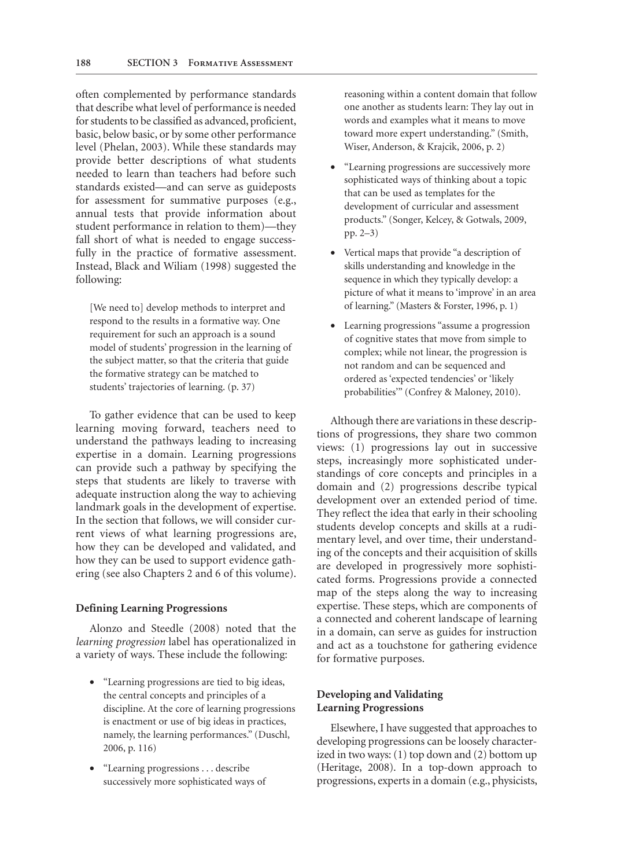often complemented by performance standards that describe what level of performance is needed for students to be classified as advanced, proficient, basic, below basic, or by some other performance level (Phelan, 2003). While these standards may provide better descriptions of what students needed to learn than teachers had before such standards existed—and can serve as guideposts for assessment for summative purposes (e.g., annual tests that provide information about student performance in relation to them)—they fall short of what is needed to engage successfully in the practice of formative assessment. Instead, Black and Wiliam (1998) suggested the following:

[We need to] develop methods to interpret and respond to the results in a formative way. One requirement for such an approach is a sound model of students' progression in the learning of the subject matter, so that the criteria that guide the formative strategy can be matched to students' trajectories of learning. (p. 37)

To gather evidence that can be used to keep learning moving forward, teachers need to understand the pathways leading to increasing expertise in a domain. Learning progressions can provide such a pathway by specifying the steps that students are likely to traverse with adequate instruction along the way to achieving landmark goals in the development of expertise. In the section that follows, we will consider current views of what learning progressions are, how they can be developed and validated, and how they can be used to support evidence gathering (see also Chapters 2 and 6 of this volume).

#### **Defining Learning Progressions**

Alonzo and Steedle (2008) noted that the *learning progression* label has operationalized in a variety of ways. These include the following:

- "Learning progressions are tied to big ideas, the central concepts and principles of a discipline. At the core of learning progressions is enactment or use of big ideas in practices, namely, the learning performances." (Duschl, 2006, p. 116)
- "Learning progressions . . . describe successively more sophisticated ways of

reasoning within a content domain that follow one another as students learn: They lay out in words and examples what it means to move toward more expert understanding." (Smith, Wiser, Anderson, & Krajcik, 2006, p. 2)

- "Learning progressions are successively more sophisticated ways of thinking about a topic that can be used as templates for the development of curricular and assessment products." (Songer, Kelcey, & Gotwals, 2009, pp. 2–3)
- Vertical maps that provide "a description of skills understanding and knowledge in the sequence in which they typically develop: a picture of what it means to 'improve' in an area of learning." (Masters & Forster, 1996, p. 1)
- Learning progressions "assume a progression of cognitive states that move from simple to complex; while not linear, the progression is not random and can be sequenced and ordered as 'expected tendencies' or 'likely probabilities'" (Confrey & Maloney, 2010).

Although there are variations in these descriptions of progressions, they share two common views: (1) progressions lay out in successive steps, increasingly more sophisticated understandings of core concepts and principles in a domain and (2) progressions describe typical development over an extended period of time. They reflect the idea that early in their schooling students develop concepts and skills at a rudimentary level, and over time, their understanding of the concepts and their acquisition of skills are developed in progressively more sophisticated forms. Progressions provide a connected map of the steps along the way to increasing expertise. These steps, which are components of a connected and coherent landscape of learning in a domain, can serve as guides for instruction and act as a touchstone for gathering evidence for formative purposes.

# **Developing and Validating Learning Progressions**

Elsewhere, I have suggested that approaches to developing progressions can be loosely characterized in two ways: (1) top down and (2) bottom up (Heritage, 2008). In a top-down approach to progressions, experts in a domain (e.g., physicists,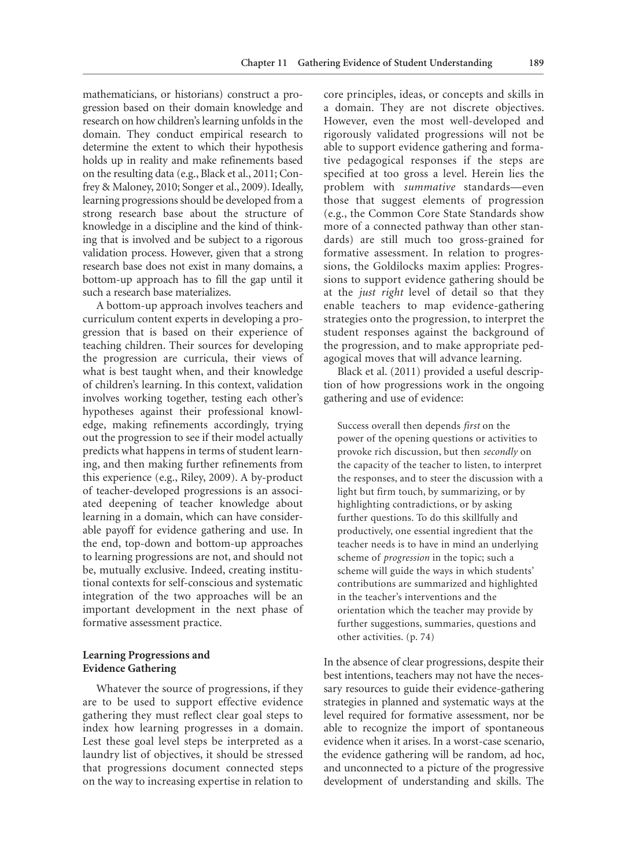mathematicians, or historians) construct a progression based on their domain knowledge and research on how children's learning unfolds in the domain. They conduct empirical research to determine the extent to which their hypothesis holds up in reality and make refinements based on the resulting data (e.g., Black et al., 2011; Confrey & Maloney, 2010; Songer et al., 2009). Ideally, learning progressions should be developed from a strong research base about the structure of knowledge in a discipline and the kind of thinking that is involved and be subject to a rigorous validation process. However, given that a strong research base does not exist in many domains, a bottom-up approach has to fill the gap until it such a research base materializes.

A bottom-up approach involves teachers and curriculum content experts in developing a progression that is based on their experience of teaching children. Their sources for developing the progression are curricula, their views of what is best taught when, and their knowledge of children's learning. In this context, validation involves working together, testing each other's hypotheses against their professional knowledge, making refinements accordingly, trying out the progression to see if their model actually predicts what happens in terms of student learning, and then making further refinements from this experience (e.g., Riley, 2009). A by-product of teacher-developed progressions is an associated deepening of teacher knowledge about learning in a domain, which can have considerable payoff for evidence gathering and use. In the end, top-down and bottom-up approaches to learning progressions are not, and should not be, mutually exclusive. Indeed, creating institutional contexts for self-conscious and systematic integration of the two approaches will be an important development in the next phase of formative assessment practice.

# **Learning Progressions and Evidence Gathering**

Whatever the source of progressions, if they are to be used to support effective evidence gathering they must reflect clear goal steps to index how learning progresses in a domain. Lest these goal level steps be interpreted as a laundry list of objectives, it should be stressed that progressions document connected steps on the way to increasing expertise in relation to

core principles, ideas, or concepts and skills in a domain. They are not discrete objectives. However, even the most well-developed and rigorously validated progressions will not be able to support evidence gathering and formative pedagogical responses if the steps are specified at too gross a level. Herein lies the problem with *summative* standards—even those that suggest elements of progression (e.g., the Common Core State Standards show more of a connected pathway than other standards) are still much too gross-grained for formative assessment. In relation to progressions, the Goldilocks maxim applies: Progressions to support evidence gathering should be at the *just right* level of detail so that they enable teachers to map evidence-gathering strategies onto the progression, to interpret the student responses against the background of the progression, and to make appropriate pedagogical moves that will advance learning.

Black et al. (2011) provided a useful description of how progressions work in the ongoing gathering and use of evidence:

Success overall then depends *first* on the power of the opening questions or activities to provoke rich discussion, but then *secondly* on the capacity of the teacher to listen, to interpret the responses, and to steer the discussion with a light but firm touch, by summarizing, or by highlighting contradictions, or by asking further questions. To do this skillfully and productively, one essential ingredient that the teacher needs is to have in mind an underlying scheme of *progression* in the topic; such a scheme will guide the ways in which students' contributions are summarized and highlighted in the teacher's interventions and the orientation which the teacher may provide by further suggestions, summaries, questions and other activities. (p. 74)

In the absence of clear progressions, despite their best intentions, teachers may not have the necessary resources to guide their evidence-gathering strategies in planned and systematic ways at the level required for formative assessment, nor be able to recognize the import of spontaneous evidence when it arises. In a worst-case scenario, the evidence gathering will be random, ad hoc, and unconnected to a picture of the progressive development of understanding and skills. The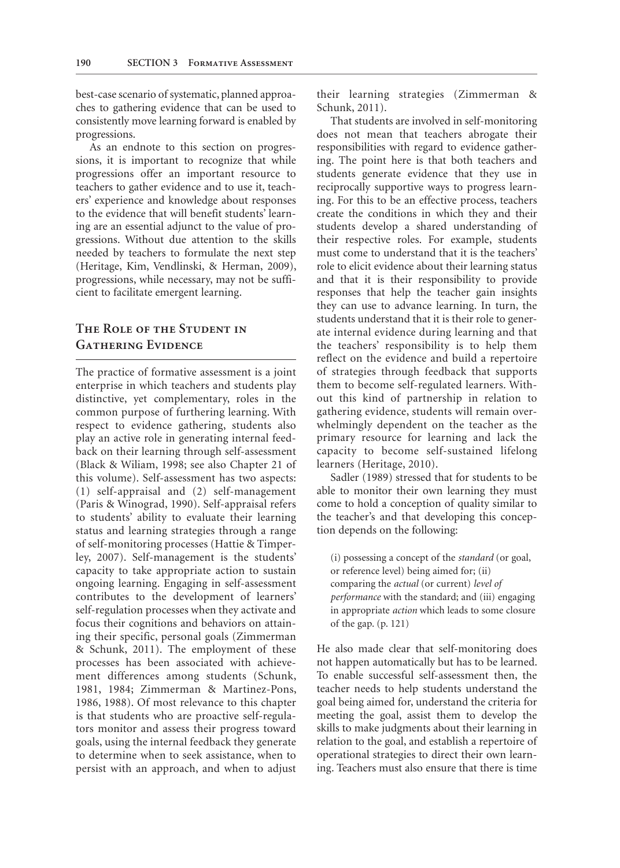best-case scenario of systematic, planned approaches to gathering evidence that can be used to consistently move learning forward is enabled by progressions.

As an endnote to this section on progressions, it is important to recognize that while progressions offer an important resource to teachers to gather evidence and to use it, teachers' experience and knowledge about responses to the evidence that will benefit students' learning are an essential adjunct to the value of progressions. Without due attention to the skills needed by teachers to formulate the next step (Heritage, Kim, Vendlinski, & Herman, 2009), progressions, while necessary, may not be sufficient to facilitate emergent learning.

# **The Role of the Student in Gathering Evidence**

The practice of formative assessment is a joint enterprise in which teachers and students play distinctive, yet complementary, roles in the common purpose of furthering learning. With respect to evidence gathering, students also play an active role in generating internal feedback on their learning through self-assessment (Black & Wiliam, 1998; see also Chapter 21 of this volume). Self-assessment has two aspects: (1) self-appraisal and (2) self-management (Paris & Winograd, 1990). Self-appraisal refers to students' ability to evaluate their learning status and learning strategies through a range of self-monitoring processes (Hattie & Timperley, 2007). Self-management is the students' capacity to take appropriate action to sustain ongoing learning. Engaging in self-assessment contributes to the development of learners' self-regulation processes when they activate and focus their cognitions and behaviors on attaining their specific, personal goals (Zimmerman & Schunk, 2011). The employment of these processes has been associated with achievement differences among students (Schunk, 1981, 1984; Zimmerman & Martinez-Pons, 1986, 1988). Of most relevance to this chapter is that students who are proactive self-regulators monitor and assess their progress toward goals, using the internal feedback they generate to determine when to seek assistance, when to persist with an approach, and when to adjust

their learning strategies (Zimmerman & Schunk, 2011).

That students are involved in self-monitoring does not mean that teachers abrogate their responsibilities with regard to evidence gathering. The point here is that both teachers and students generate evidence that they use in reciprocally supportive ways to progress learning. For this to be an effective process, teachers create the conditions in which they and their students develop a shared understanding of their respective roles. For example, students must come to understand that it is the teachers' role to elicit evidence about their learning status and that it is their responsibility to provide responses that help the teacher gain insights they can use to advance learning. In turn, the students understand that it is their role to generate internal evidence during learning and that the teachers' responsibility is to help them reflect on the evidence and build a repertoire of strategies through feedback that supports them to become self-regulated learners. Without this kind of partnership in relation to gathering evidence, students will remain overwhelmingly dependent on the teacher as the primary resource for learning and lack the capacity to become self-sustained lifelong learners (Heritage, 2010).

Sadler (1989) stressed that for students to be able to monitor their own learning they must come to hold a conception of quality similar to the teacher's and that developing this conception depends on the following:

(i) possessing a concept of the *standard* (or goal, or reference level) being aimed for; (ii) comparing the *actual* (or current) *level of performance* with the standard; and (iii) engaging in appropriate *action* which leads to some closure of the gap. (p. 121)

He also made clear that self-monitoring does not happen automatically but has to be learned. To enable successful self-assessment then, the teacher needs to help students understand the goal being aimed for, understand the criteria for meeting the goal, assist them to develop the skills to make judgments about their learning in relation to the goal, and establish a repertoire of operational strategies to direct their own learning. Teachers must also ensure that there is time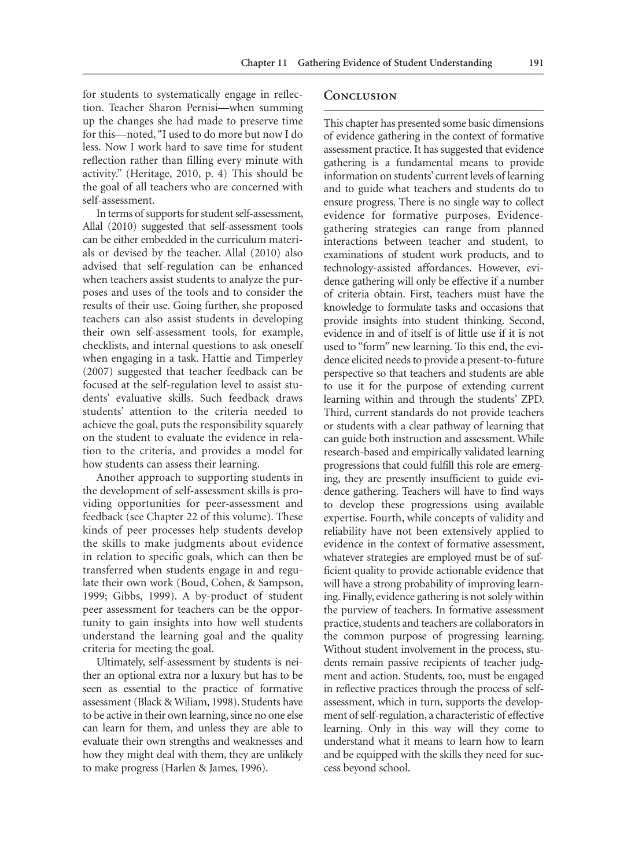for students to systematically engage in reflection. Teacher Sharon Pernisi—when summing up the changes she had made to preserve time for this—noted, "I used to do more but now I do less. Now I work hard to save time for student reflection rather than filling every minute with activity." (Heritage, 2010, p. 4) This should be the goal of all teachers who are concerned with self-assessment.

In terms of supports for student self-assessment, Allal (2010) suggested that self-assessment tools can be either embedded in the curriculum materials or devised by the teacher. Allal (2010) also advised that self-regulation can be enhanced when teachers assist students to analyze the purposes and uses of the tools and to consider the results of their use. Going further, she proposed teachers can also assist students in developing their own self-assessment tools, for example, checklists, and internal questions to ask oneself when engaging in a task. Hattie and Timperley (2007) suggested that teacher feedback can be focused at the self-regulation level to assist students' evaluative skills. Such feedback draws students' attention to the criteria needed to achieve the goal, puts the responsibility squarely on the student to evaluate the evidence in relation to the criteria, and provides a model for how students can assess their learning.

Another approach to supporting students in the development of self-assessment skills is providing opportunities for peer-assessment and feedback (see Chapter 22 of this volume). These kinds of peer processes help students develop the skills to make judgments about evidence in relation to specific goals, which can then be transferred when students engage in and regulate their own work (Boud, Cohen, & Sampson, 1999; Gibbs, 1999). A by-product of student peer assessment for teachers can be the opportunity to gain insights into how well students understand the learning goal and the quality criteria for meeting the goal.

Ultimately, self-assessment by students is neither an optional extra nor a luxury but has to be seen as essential to the practice of formative assessment (Black & Wiliam, 1998). Students have to be active in their own learning, since no one else can learn for them, and unless they are able to evaluate their own strengths and weaknesses and how they might deal with them, they are unlikely to make progress (Harlen & James, 1996).

# **Conclusion**

This chapter has presented some basic dimensions of evidence gathering in the context of formative assessment practice. It has suggested that evidence gathering is a fundamental means to provide information on students' current levels of learning and to guide what teachers and students do to ensure progress. There is no single way to collect evidence for formative purposes. Evidencegathering strategies can range from planned interactions between teacher and student, to examinations of student work products, and to technology-assisted affordances. However, evidence gathering will only be effective if a number of criteria obtain. First, teachers must have the knowledge to formulate tasks and occasions that provide insights into student thinking. Second, evidence in and of itself is of little use if it is not used to "form" new learning. To this end, the evidence elicited needs to provide a present-to-future perspective so that teachers and students are able to use it for the purpose of extending current learning within and through the students' ZPD. Third, current standards do not provide teachers or students with a clear pathway of learning that can guide both instruction and assessment. While research-based and empirically validated learning progressions that could fulfill this role are emerging, they are presently insufficient to guide evidence gathering. Teachers will have to find ways to develop these progressions using available expertise. Fourth, while concepts of validity and reliability have not been extensively applied to evidence in the context of formative assessment, whatever strategies are employed must be of sufficient quality to provide actionable evidence that will have a strong probability of improving learning. Finally, evidence gathering is not solely within the purview of teachers. In formative assessment practice, students and teachers are collaborators in the common purpose of progressing learning. Without student involvement in the process, students remain passive recipients of teacher judgment and action. Students, too, must be engaged in reflective practices through the process of selfassessment, which in turn, supports the development of self-regulation, a characteristic of effective learning. Only in this way will they come to understand what it means to learn how to learn and be equipped with the skills they need for success beyond school.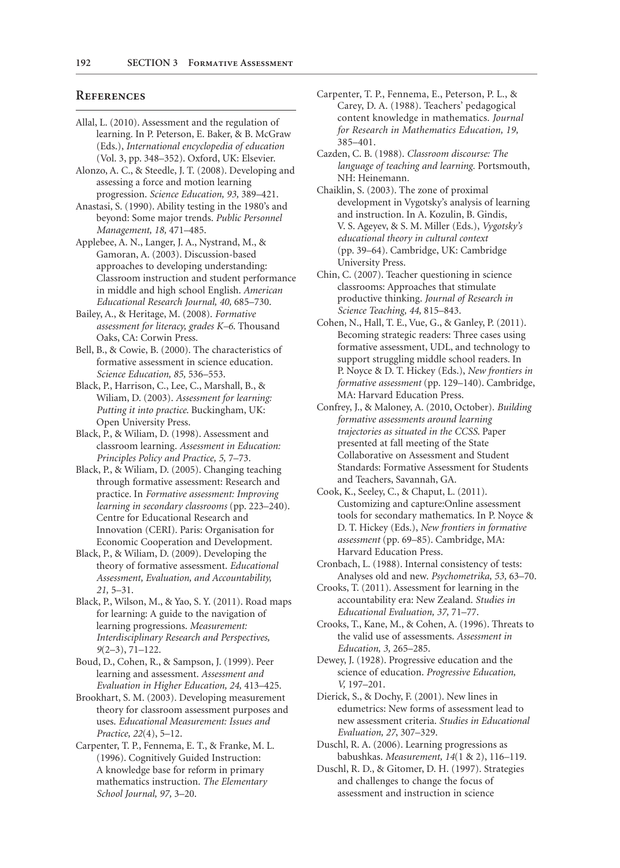# **References**

- Allal, L. (2010). Assessment and the regulation of learning. In P. Peterson, E. Baker, & B. McGraw (Eds.), *International encyclopedia of education* (Vol. 3, pp. 348–352). Oxford, UK: Elsevier.
- Alonzo, A. C., & Steedle, J. T. (2008). Developing and assessing a force and motion learning progression. *Science Education, 93,* 389–421.
- Anastasi, S. (1990). Ability testing in the 1980's and beyond: Some major trends. *Public Personnel Management, 18,* 471–485.
- Applebee, A. N., Langer, J. A., Nystrand, M., & Gamoran, A. (2003). Discussion-based approaches to developing understanding: Classroom instruction and student performance in middle and high school English. *American Educational Research Journal, 40,* 685–730.
- Bailey, A., & Heritage, M. (2008). *Formative assessment for literacy, grades K–6*. Thousand Oaks, CA: Corwin Press.
- Bell, B., & Cowie, B. (2000). The characteristics of formative assessment in science education. *Science Education, 85,* 536–553.
- Black, P., Harrison, C., Lee, C., Marshall, B., & Wiliam, D. (2003). *Assessment for learning: Putting it into practice*. Buckingham, UK: Open University Press.
- Black, P., & Wiliam, D. (1998). Assessment and classroom learning. *Assessment in Education: Principles Policy and Practice, 5,* 7–73.
- Black, P., & Wiliam, D. (2005). Changing teaching through formative assessment: Research and practice. In *Formative assessment: Improving learning in secondary classrooms* (pp. 223–240). Centre for Educational Research and Innovation (CERI). Paris: Organisation for Economic Cooperation and Development.
- Black, P., & Wiliam, D. (2009). Developing the theory of formative assessment. *Educational Assessment, Evaluation, and Accountability, 21,* 5–31.
- Black, P., Wilson, M., & Yao, S. Y. (2011). Road maps for learning: A guide to the navigation of learning progressions. *Measurement: Interdisciplinary Research and Perspectives, 9*(2–3), 71–122.
- Boud, D., Cohen, R., & Sampson, J. (1999). Peer learning and assessment. *Assessment and Evaluation in Higher Education, 24,* 413–425.
- Brookhart, S. M. (2003). Developing measurement theory for classroom assessment purposes and uses. *Educational Measurement: Issues and Practice, 22*(4), 5–12.
- Carpenter, T. P., Fennema, E. T., & Franke, M. L. (1996). Cognitively Guided Instruction: A knowledge base for reform in primary mathematics instruction. *The Elementary School Journal, 97,* 3–20.
- Carpenter, T. P., Fennema, E., Peterson, P. L., & Carey, D. A. (1988). Teachers' pedagogical content knowledge in mathematics. *Journal for Research in Mathematics Education, 19,* 385–401.
- Cazden, C. B. (1988). *Classroom discourse: The language of teaching and learning.* Portsmouth, NH: Heinemann.
- Chaiklin, S. (2003). The zone of proximal development in Vygotsky's analysis of learning and instruction. In A. Kozulin, B. Gindis, V. S. Ageyev, & S. M. Miller (Eds.), *Vygotsky's educational theory in cultural context* (pp. 39–64). Cambridge, UK: Cambridge University Press.
- Chin, C. (2007). Teacher questioning in science classrooms: Approaches that stimulate productive thinking. *Journal of Research in Science Teaching, 44,* 815–843.
- Cohen, N., Hall, T. E., Vue, G., & Ganley, P. (2011). Becoming strategic readers: Three cases using formative assessment, UDL, and technology to support struggling middle school readers. In P. Noyce & D. T. Hickey (Eds.), *New frontiers in formative assessment* (pp. 129–140). Cambridge, MA: Harvard Education Press.
- Confrey, J., & Maloney, A. (2010, October). *Building formative assessments around learning trajectories as situated in the CCSS*. Paper presented at fall meeting of the State Collaborative on Assessment and Student Standards: Formative Assessment for Students and Teachers, Savannah, GA.
- Cook, K., Seeley, C., & Chaput, L. (2011). Customizing and capture:Online assessment tools for secondary mathematics. In P. Noyce & D. T. Hickey (Eds.), *New frontiers in formative assessment* (pp. 69–85). Cambridge, MA: Harvard Education Press.
- Cronbach, L. (1988). Internal consistency of tests: Analyses old and new. *Psychometrika, 53,* 63–70.
- Crooks, T. (2011). Assessment for learning in the accountability era: New Zealand. *Studies in Educational Evaluation, 37,* 71–77.
- Crooks, T., Kane, M., & Cohen, A. (1996). Threats to the valid use of assessments. *Assessment in Education, 3,* 265–285.
- Dewey, J. (1928). Progressive education and the science of education. *Progressive Education, V,* 197–201.
- Dierick, S., & Dochy, F. (2001). New lines in edumetrics: New forms of assessment lead to new assessment criteria. *Studies in Educational Evaluation, 27*, 307–329.
- Duschl, R. A. (2006). Learning progressions as babushkas. *Measurement, 14*(1 & 2), 116–119.
- Duschl, R. D., & Gitomer, D. H. (1997). Strategies and challenges to change the focus of assessment and instruction in science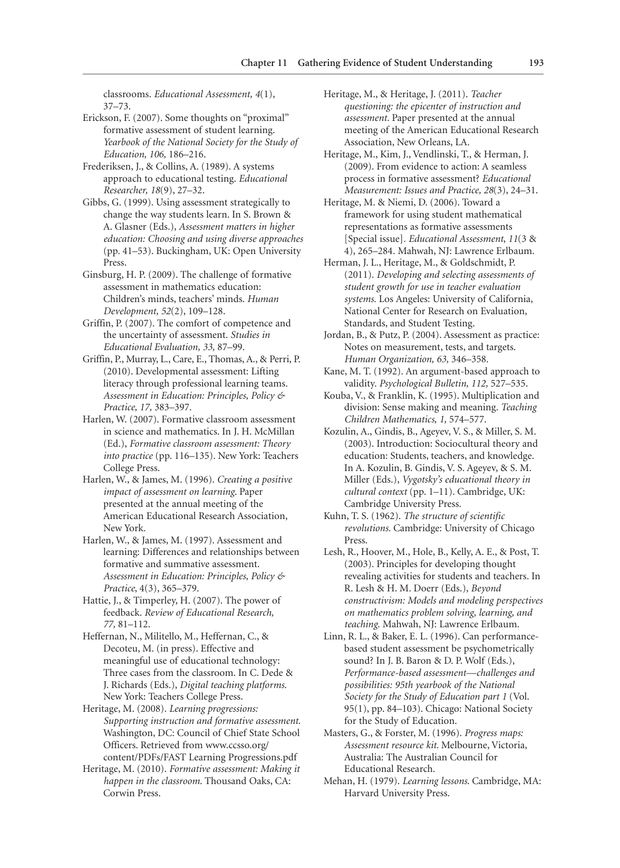classrooms. *Educational Assessment, 4*(1), 37–73.

- Erickson, F. (2007). Some thoughts on "proximal" formative assessment of student learning. *Yearbook of the National Society for the Study of Education, 106,* 186–216.
- Frederiksen, J., & Collins, A. (1989). A systems approach to educational testing. *Educational Researcher, 18*(9), 27–32.
- Gibbs, G. (1999). Using assessment strategically to change the way students learn. In S. Brown & A. Glasner (Eds.), *Assessment matters in higher education: Choosing and using diverse approaches*  (pp. 41–53). Buckingham, UK: Open University Press.
- Ginsburg, H. P. (2009). The challenge of formative assessment in mathematics education: Children's minds, teachers' minds. *Human Development, 52*(2), 109–128.
- Griffin, P. (2007). The comfort of competence and the uncertainty of assessment. *Studies in Educational Evaluation, 33,* 87–99.
- Griffin, P., Murray, L., Care, E., Thomas, A., & Perri, P. (2010). Developmental assessment: Lifting literacy through professional learning teams. *Assessment in Education: Principles, Policy & Practice, 17,* 383–397.
- Harlen, W. (2007). Formative classroom assessment in science and mathematics. In J. H. McMillan (Ed.), *Formative classroom assessment: Theory into practice* (pp. 116–135). New York: Teachers College Press.
- Harlen, W., & James, M. (1996). *Creating a positive impact of assessment on learning*. Paper presented at the annual meeting of the American Educational Research Association, New York.
- Harlen, W., & James, M. (1997). Assessment and learning: Differences and relationships between formative and summative assessment. *Assessment in Education: Principles, Policy & Practice*, 4(3), 365–379.
- Hattie, J., & Timperley, H. (2007). The power of feedback. *Review of Educational Research, 77,* 81–112.
- Heffernan, N., Militello, M., Heffernan, C., & Decoteu, M. (in press). Effective and meaningful use of educational technology: Three cases from the classroom. In C. Dede & J. Richards (Eds.), *Digital teaching platforms*. New York: Teachers College Press.
- Heritage, M. (2008). *Learning progressions: Supporting instruction and formative assessment*. Washington, DC: Council of Chief State School Officers. Retrieved from www.ccsso.org/ content/PDFs/FAST Learning Progressions.pdf
- Heritage, M. (2010). *Formative assessment: Making it happen in the classroom*. Thousand Oaks, CA: Corwin Press.
- Heritage, M., & Heritage, J. (2011). *Teacher questioning: the epicenter of instruction and assessment.* Paper presented at the annual meeting of the American Educational Research Association, New Orleans, LA*.*
- Heritage, M., Kim, J., Vendlinski, T., & Herman, J. (2009). From evidence to action: A seamless process in formative assessment? *Educational Measurement: Issues and Practice, 28*(3), 24–31.
- Heritage, M. & Niemi, D. (2006). Toward a framework for using student mathematical representations as formative assessments [Special issue]*. Educational Assessment*, *11*(3 & 4), 265–284*.* Mahwah, NJ: Lawrence Erlbaum.
- Herman, J. L., Heritage, M., & Goldschmidt, P. (2011). *Developing and selecting assessments of student growth for use in teacher evaluation systems.* Los Angeles: University of California, National Center for Research on Evaluation, Standards, and Student Testing.
- Jordan, B., & Putz, P. (2004). Assessment as practice: Notes on measurement, tests, and targets. *Human Organization, 63,* 346–358.
- Kane, M. T. (1992). An argument-based approach to validity. *Psychological Bulletin, 112,* 527–535.
- Kouba, V., & Franklin, K. (1995). Multiplication and division: Sense making and meaning. *Teaching Children Mathematics, 1,* 574–577.
- Kozulin, A., Gindis, B., Ageyev, V. S., & Miller, S. M. (2003). Introduction: Sociocultural theory and education: Students, teachers, and knowledge. In A. Kozulin, B. Gindis, V. S. Ageyev, & S. M. Miller (Eds.), *Vygotsky's educational theory in cultural context* (pp. 1–11). Cambridge, UK: Cambridge University Press.
- Kuhn, T. S. (1962). *The structure of scientific revolutions.* Cambridge: University of Chicago Press.
- Lesh, R., Hoover, M., Hole, B., Kelly, A. E., & Post, T. (2003). Principles for developing thought revealing activities for students and teachers. In R. Lesh & H. M. Doerr (Eds.), *Beyond constructivism: Models and modeling perspectives on mathematics problem solving, learning, and teaching.* Mahwah, NJ: Lawrence Erlbaum.
- Linn, R. L., & Baker, E. L. (1996). Can performancebased student assessment be psychometrically sound? In J. B. Baron & D. P. Wolf (Eds.), *Performance-based assessment—challenges and possibilities: 95th yearbook of the National Society for the Study of Education part 1* (Vol. 95(1), pp. 84–103). Chicago: National Society for the Study of Education.
- Masters, G., & Forster, M. (1996). *Progress maps: Assessment resource kit*. Melbourne, Victoria, Australia: The Australian Council for Educational Research.
- Mehan, H. (1979). *Learning lessons*. Cambridge, MA: Harvard University Press.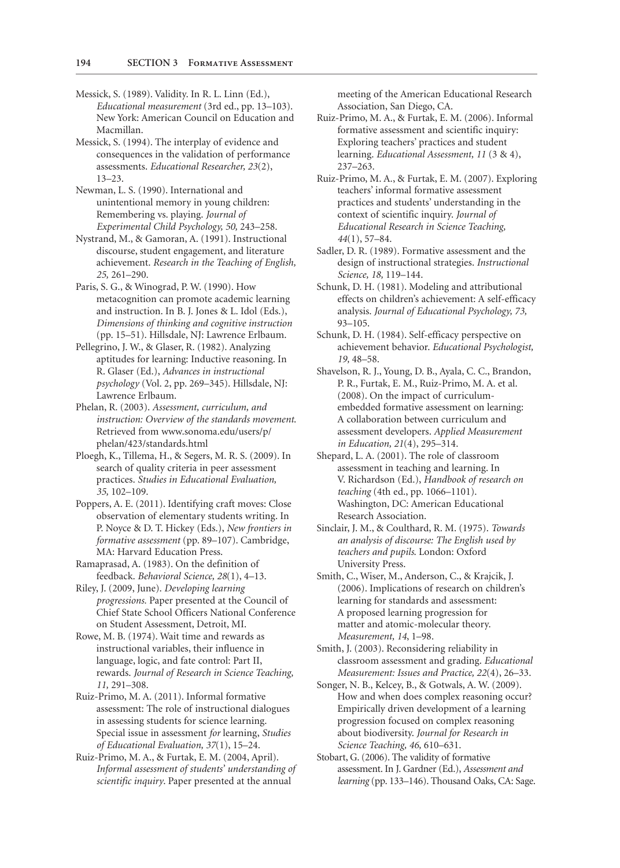Messick, S. (1989). Validity. In R. L. Linn (Ed.), *Educational measurement* (3rd ed., pp. 13–103). New York: American Council on Education and Macmillan.

Messick, S. (1994). The interplay of evidence and consequences in the validation of performance assessments. *Educational Researcher, 23*(2), 13–23.

Newman, L. S. (1990). International and unintentional memory in young children: Remembering vs. playing. *Journal of Experimental Child Psychology, 50,* 243–258.

Nystrand, M., & Gamoran, A. (1991). Instructional discourse, student engagement, and literature achievement. *Research in the Teaching of English, 25,* 261–290.

Paris, S. G., & Winograd, P. W. (1990). How metacognition can promote academic learning and instruction. In B. J. Jones & L. Idol (Eds.), *Dimensions of thinking and cognitive instruction*  (pp. 15–51). Hillsdale, NJ: Lawrence Erlbaum.

Pellegrino, J. W., & Glaser, R. (1982). Analyzing aptitudes for learning: Inductive reasoning. In R. Glaser (Ed.), *Advances in instructional psychology* (Vol. 2, pp. 269–345). Hillsdale, NJ: Lawrence Erlbaum.

Phelan, R. (2003). *Assessment, curriculum, and instruction: Overview of the standards movement*. Retrieved from www.sonoma.edu/users/p/ phelan/423/standards.html

Ploegh, K., Tillema, H., & Segers, M. R. S. (2009). In search of quality criteria in peer assessment practices. *Studies in Educational Evaluation, 35,* 102–109.

Poppers, A. E. (2011). Identifying craft moves: Close observation of elementary students writing. In P. Noyce & D. T. Hickey (Eds.), *New frontiers in formative assessment* (pp. 89–107). Cambridge, MA: Harvard Education Press.

Ramaprasad, A. (1983). On the definition of feedback. *Behavioral Science, 28*(1), 4–13.

Riley, J. (2009, June). *Developing learning progressions.* Paper presented at the Council of Chief State School Officers National Conference on Student Assessment, Detroit, MI.

Rowe, M. B. (1974). Wait time and rewards as instructional variables, their influence in language, logic, and fate control: Part II, rewards. *Journal of Research in Science Teaching, 11,* 291–308.

Ruiz-Primo, M. A. (2011). Informal formative assessment: The role of instructional dialogues in assessing students for science learning. Special issue in assessment *for* learning, *Studies of Educational Evaluation, 37*(1), 15–24.

Ruiz-Primo, M. A., & Furtak, E. M. (2004, April). *Informal assessment of students' understanding of scientific inquiry*. Paper presented at the annual

meeting of the American Educational Research Association, San Diego, CA.

Ruiz-Primo, M. A., & Furtak, E. M. (2006). Informal formative assessment and scientific inquiry: Exploring teachers' practices and student learning. *Educational Assessment, 11* (3 & 4), 237–263.

Ruiz-Primo, M. A., & Furtak, E. M. (2007). Exploring teachers' informal formative assessment practices and students' understanding in the context of scientific inquiry. *Journal of Educational Research in Science Teaching, 44*(1), 57–84.

Sadler, D. R. (1989). Formative assessment and the design of instructional strategies. *Instructional Science, 18,* 119–144.

Schunk, D. H. (1981). Modeling and attributional effects on children's achievement: A self-efficacy analysis. *Journal of Educational Psychology, 73,*  93–105.

Schunk, D. H. (1984). Self-efficacy perspective on achievement behavior. *Educational Psychologist, 19,* 48–58.

Shavelson, R. J., Young, D. B., Ayala, C. C., Brandon, P. R., Furtak, E. M., Ruiz-Primo, M. A. et al. (2008). On the impact of curriculumembedded formative assessment on learning: A collaboration between curriculum and assessment developers. *Applied Measurement in Education, 21*(4), 295–314.

Shepard, L. A. (2001). The role of classroom assessment in teaching and learning. In V. Richardson (Ed.), *Handbook of research on teaching* (4th ed., pp. 1066–1101). Washington, DC: American Educational Research Association.

Sinclair, J. M., & Coulthard, R. M. (1975). *Towards an analysis of discourse: The English used by teachers and pupils*. London: Oxford University Press.

Smith, C., Wiser, M., Anderson, C., & Krajcik, J. (2006). Implications of research on children's learning for standards and assessment: A proposed learning progression for matter and atomic-molecular theory. *Measurement, 14*, 1–98.

Smith, J. (2003). Reconsidering reliability in classroom assessment and grading. *Educational Measurement: Issues and Practice, 22*(4), 26–33.

Songer, N. B., Kelcey, B., & Gotwals, A. W. (2009). How and when does complex reasoning occur? Empirically driven development of a learning progression focused on complex reasoning about biodiversity. *Journal for Research in Science Teaching, 46,* 610–631.

Stobart, G. (2006). The validity of formative assessment. In J. Gardner (Ed.), *Assessment and learning* (pp. 133–146). Thousand Oaks, CA: Sage.